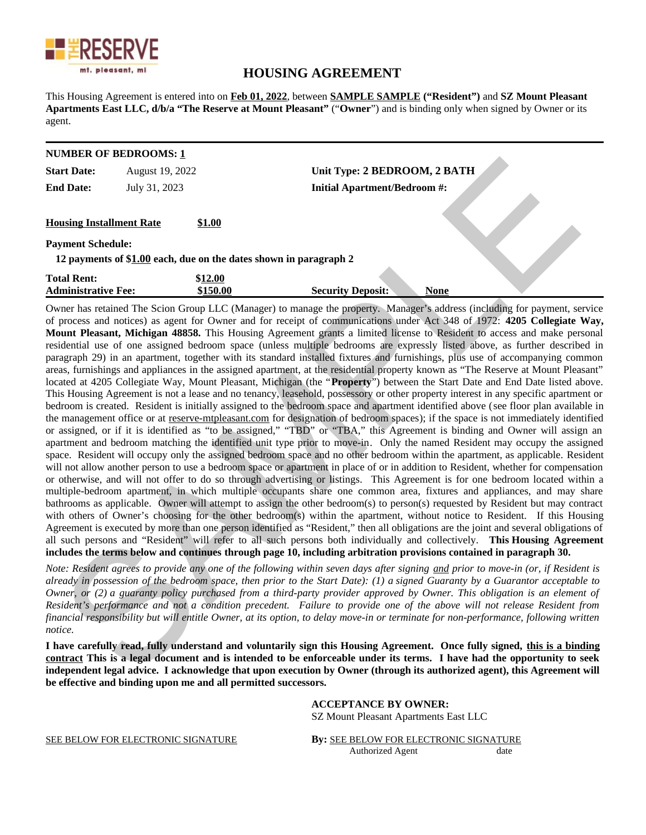

# **HOUSING AGREEMENT**

This Housing Agreement is entered into on **Feb 01, 2022**, between **SAMPLE SAMPLE ("Resident")** and **SZ Mount Pleasant Apartments East LLC, d/b/a "The Reserve at Mount Pleasant"** ("**Owner**") and is binding only when signed by Owner or its agent.

| <b>NUMBER OF BEDROOMS: 1</b>                                      |                 |          |                                     |             |  |  |  |
|-------------------------------------------------------------------|-----------------|----------|-------------------------------------|-------------|--|--|--|
| <b>Start Date:</b>                                                | August 19, 2022 |          | Unit Type: 2 BEDROOM, 2 BATH        |             |  |  |  |
| <b>End Date:</b>                                                  | July 31, 2023   |          | <b>Initial Apartment/Bedroom #:</b> |             |  |  |  |
| <b>Housing Installment Rate</b>                                   |                 | \$1.00   |                                     |             |  |  |  |
| <b>Payment Schedule:</b>                                          |                 |          |                                     |             |  |  |  |
| 12 payments of \$1.00 each, due on the dates shown in paragraph 2 |                 |          |                                     |             |  |  |  |
| <b>Total Rent:</b>                                                |                 | \$12.00  |                                     |             |  |  |  |
| <b>Administrative Fee:</b>                                        |                 | \$150.00 | <b>Security Deposit:</b>            | <b>None</b> |  |  |  |

Owner has retained The Scion Group LLC (Manager) to manage the property. Manager's address (including for payment, service of process and notices) as agent for Owner and for receipt of communications under Act 348 of 1972: **4205 Collegiate Way, Mount Pleasant, Michigan 48858.** This Housing Agreement grants a limited license to Resident to access and make personal residential use of one assigned bedroom space (unless multiple bedrooms are expressly listed above, as further described in paragraph 29) in an apartment, together with its standard installed fixtures and furnishings, plus use of accompanying common areas, furnishings and appliances in the assigned apartment, at the residential property known as "The Reserve at Mount Pleasant" located at 4205 Collegiate Way, Mount Pleasant, Michigan (the "**Property**") between the Start Date and End Date listed above. This Housing Agreement is not a lease and no tenancy, leasehold, possessory or other property interest in any specific apartment or bedroom is created. Resident is initially assigned to the bedroom space and apartment identified above (see floor plan available in the management office or at reserve-mtpleasant.com for designation of bedroom spaces); if the space is not immediately identified or assigned, or if it is identified as "to be assigned," "TBD" or "TBA," this Agreement is binding and Owner will assign an apartment and bedroom matching the identified unit type prior to move-in. Only the named Resident may occupy the assigned space. Resident will occupy only the assigned bedroom space and no other bedroom within the apartment, as applicable. Resident will not allow another person to use a bedroom space or apartment in place of or in addition to Resident, whether for compensation or otherwise, and will not offer to do so through advertising or listings. This Agreement is for one bedroom located within a multiple-bedroom apartment, in which multiple occupants share one common area, fixtures and appliances, and may share bathrooms as applicable. Owner will attempt to assign the other bedroom(s) to person(s) requested by Resident but may contract with others of Owner's choosing for the other bedroom(s) within the apartment, without notice to Resident. If this Housing Agreement is executed by more than one person identified as "Resident," then all obligations are the joint and several obligations of all such persons and "Resident" will refer to all such persons both individually and collectively. **This Housing Agreement includes the terms below and continues through page 10, including arbitration provisions contained in paragraph 30.** STREET Aggest 19.2022<br>
That There:  $\therefore$  Aggest 19.2022<br>
That There:  $\therefore$  Aggest 19.2022<br>
That Apartment/Bedroom #:<br>
Initial Apartment/Bedroom #:<br>
Sample Interded age of 5.100<br>
Screen as well as a small to compute the sh

*Note: Resident agrees to provide any one of the following within seven days after signing and prior to move-in (or, if Resident is already in possession of the bedroom space, then prior to the Start Date): (1) a signed Guaranty by a Guarantor acceptable to Owner, or (2) a guaranty policy purchased from a third-party provider approved by Owner. This obligation is an element of Resident's performance and not a condition precedent. Failure to provide one of the above will not release Resident from financial responsibility but will entitle Owner, at its option, to delay move-in or terminate for non-performance, following written notice.* 

**I have carefully read, fully understand and voluntarily sign this Housing Agreement. Once fully signed, this is a binding contract This is a legal document and is intended to be enforceable under its terms. I have had the opportunity to seek independent legal advice. I acknowledge that upon execution by Owner (through its authorized agent), this Agreement will be effective and binding upon me and all permitted successors.**

**ACCEPTANCE BY OWNER:**

SZ Mount Pleasant Apartments East LLC

SEE BELOW FOR ELECTRONIC SIGNATURE **By:** SEE BELOW FOR ELECTRONIC SIGNATURE Authorized Agent date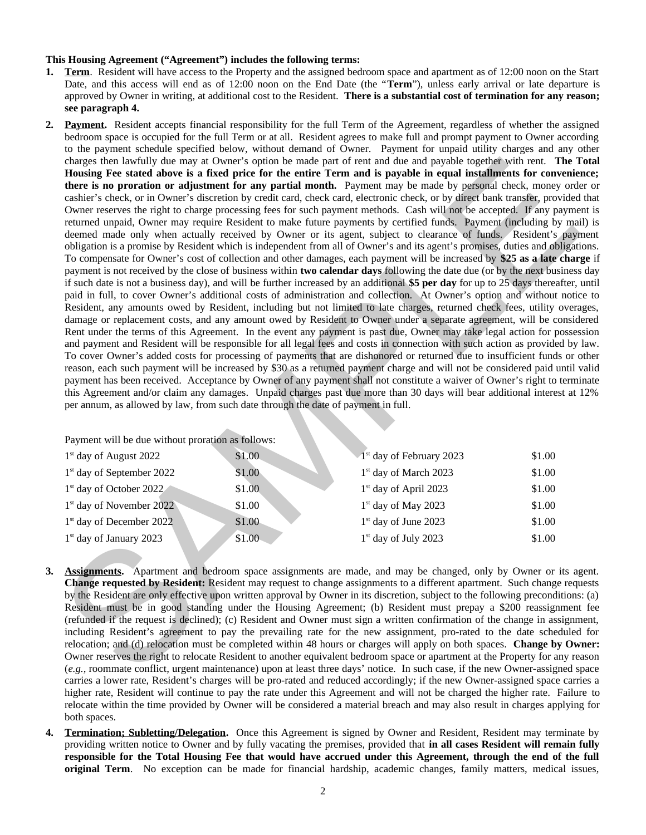### **This Housing Agreement ("Agreement") includes the following terms:**

- **1. Term**. Resident will have access to the Property and the assigned bedroom space and apartment as of 12:00 noon on the Start Date, and this access will end as of 12:00 noon on the End Date (the "**Term**"), unless early arrival or late departure is approved by Owner in writing, at additional cost to the Resident. **There is a substantial cost of termination for any reason; see paragraph 4.**
- **2. Payment.** Resident accepts financial responsibility for the full Term of the Agreement, regardless of whether the assigned bedroom space is occupied for the full Term or at all. Resident agrees to make full and prompt payment to Owner according to the payment schedule specified below, without demand of Owner. Payment for unpaid utility charges and any other charges then lawfully due may at Owner's option be made part of rent and due and payable together with rent. **The Total Housing Fee stated above is a fixed price for the entire Term and is payable in equal installments for convenience; there is no proration or adjustment for any partial month.** Payment may be made by personal check, money order or cashier's check, or in Owner's discretion by credit card, check card, electronic check, or by direct bank transfer, provided that Owner reserves the right to charge processing fees for such payment methods. Cash will not be accepted. If any payment is returned unpaid, Owner may require Resident to make future payments by certified funds. Payment (including by mail) is deemed made only when actually received by Owner or its agent, subject to clearance of funds. Resident's payment obligation is a promise by Resident which is independent from all of Owner's and its agent's promises, duties and obligations. To compensate for Owner's cost of collection and other damages, each payment will be increased by **\$25 as a late charge** if payment is not received by the close of business within **two calendar days** following the date due (or by the next business day if such date is not a business day), and will be further increased by an additional **\$5 per day** for up to 25 days thereafter, until paid in full, to cover Owner's additional costs of administration and collection. At Owner's option and without notice to Resident, any amounts owed by Resident, including but not limited to late charges, returned check fees, utility overages, damage or replacement costs, and any amount owed by Resident to Owner under a separate agreement, will be considered Rent under the terms of this Agreement. In the event any payment is past due, Owner may take legal action for possession and payment and Resident will be responsible for all legal fees and costs in connection with such action as provided by law. To cover Owner's added costs for processing of payments that are dishonored or returned due to insufficient funds or other reason, each such payment will be increased by \$30 as a returned payment charge and will not be considered paid until valid payment has been received. Acceptance by Owner of any payment shall not constitute a waiver of Owner's right to terminate this Agreement and/or claim any damages. Unpaid charges past due more than 30 days will bear additional interest at 12% per annum, as allowed by law, from such date through the date of payment in full. changes from Lavinly she may at Orome's option be made part of mean and particle by a particle with rest. The fitter is a fixed price for the entire Term and is payable in equal installments for convenience is not provide

Payment will be due without proration as follows:

| $1st$ day of August 2022              | \$1.00 | $1st$ day of February 2023        | \$1.00 |
|---------------------------------------|--------|-----------------------------------|--------|
| 1 <sup>st</sup> day of September 2022 | \$1.00 | 1 <sup>st</sup> day of March 2023 | \$1.00 |
| 1 <sup>st</sup> day of October 2022   | \$1.00 | $1st$ day of April 2023           | \$1.00 |
| 1 <sup>st</sup> day of November 2022  | \$1.00 | $1st$ day of May 2023             | \$1.00 |
| $1st$ day of December 2022            | \$1.00 | $1st$ day of June 2023            | \$1.00 |
| $1st$ day of January 2023             | \$1.00 | $1st$ day of July 2023            | \$1.00 |

- **3. Assignments.** Apartment and bedroom space assignments are made, and may be changed, only by Owner or its agent. **Change requested by Resident:** Resident may request to change assignments to a different apartment. Such change requests by the Resident are only effective upon written approval by Owner in its discretion, subject to the following preconditions: (a) Resident must be in good standing under the Housing Agreement; (b) Resident must prepay a \$200 reassignment fee (refunded if the request is declined); (c) Resident and Owner must sign a written confirmation of the change in assignment, including Resident's agreement to pay the prevailing rate for the new assignment, pro-rated to the date scheduled for relocation; and (d) relocation must be completed within 48 hours or charges will apply on both spaces. **Change by Owner:** Owner reserves the right to relocate Resident to another equivalent bedroom space or apartment at the Property for any reason (*e.g.,* roommate conflict, urgent maintenance) upon at least three days' notice. In such case, if the new Owner-assigned space carries a lower rate, Resident's charges will be pro-rated and reduced accordingly; if the new Owner-assigned space carries a higher rate, Resident will continue to pay the rate under this Agreement and will not be charged the higher rate. Failure to relocate within the time provided by Owner will be considered a material breach and may also result in charges applying for both spaces.
- **4. Termination; Subletting/Delegation.** Once this Agreement is signed by Owner and Resident, Resident may terminate by providing written notice to Owner and by fully vacating the premises, provided that **in all cases Resident will remain fully responsible for the Total Housing Fee that would have accrued under this Agreement, through the end of the full original Term**. No exception can be made for financial hardship, academic changes, family matters, medical issues,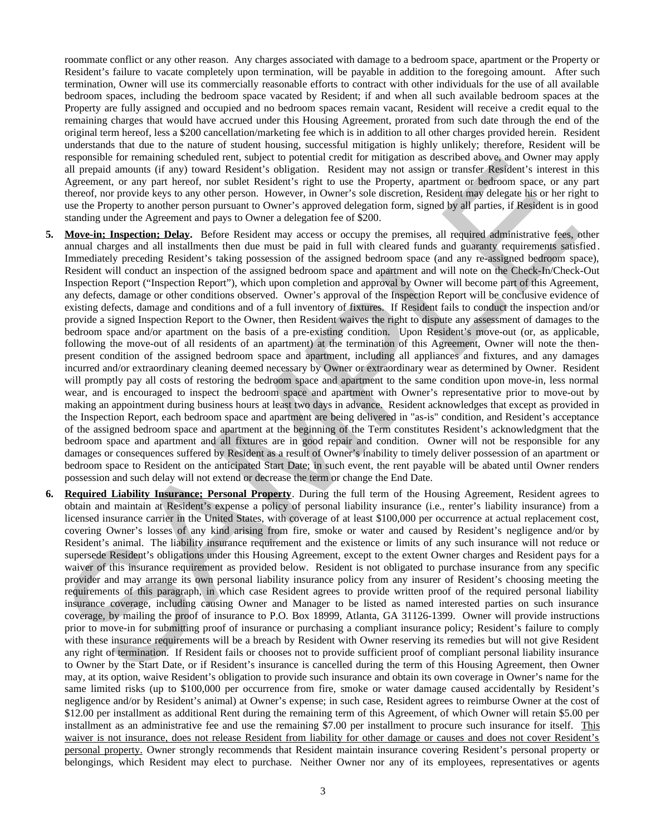roommate conflict or any other reason. Any charges associated with damage to a bedroom space, apartment or the Property or Resident's failure to vacate completely upon termination, will be payable in addition to the foregoing amount. After such termination, Owner will use its commercially reasonable efforts to contract with other individuals for the use of all available bedroom spaces, including the bedroom space vacated by Resident; if and when all such available bedroom spaces at the Property are fully assigned and occupied and no bedroom spaces remain vacant, Resident will receive a credit equal to the remaining charges that would have accrued under this Housing Agreement, prorated from such date through the end of the original term hereof, less a \$200 cancellation/marketing fee which is in addition to all other charges provided herein. Resident understands that due to the nature of student housing, successful mitigation is highly unlikely; therefore, Resident will be responsible for remaining scheduled rent, subject to potential credit for mitigation as described above, and Owner may apply all prepaid amounts (if any) toward Resident's obligation. Resident may not assign or transfer Resident's interest in this Agreement, or any part hereof, nor sublet Resident's right to use the Property, apartment or bedroom space, or any part thereof, nor provide keys to any other person. However, in Owner's sole discretion, Resident may delegate his or her right to use the Property to another person pursuant to Owner's approved delegation form, signed by all parties, if Resident is in good standing under the Agreement and pays to Owner a delegation fee of \$200.

- **5. Move-in; Inspection; Delay.** Before Resident may access or occupy the premises, all required administrative fees, other annual charges and all installments then due must be paid in full with cleared funds and guaranty requirements satisfied . Immediately preceding Resident's taking possession of the assigned bedroom space (and any re-assigned bedroom space), Resident will conduct an inspection of the assigned bedroom space and apartment and will note on the Check-In/Check-Out Inspection Report ("Inspection Report"), which upon completion and approval by Owner will become part of this Agreement, any defects, damage or other conditions observed. Owner's approval of the Inspection Report will be conclusive evidence of existing defects, damage and conditions and of a full inventory of fixtures. If Resident fails to conduct the inspection and/or provide a signed Inspection Report to the Owner, then Resident waives the right to dispute any assessment of damages to the bedroom space and/or apartment on the basis of a pre-existing condition. Upon Resident's move-out (or, as applicable, following the move-out of all residents of an apartment) at the termination of this Agreement, Owner will note the thenpresent condition of the assigned bedroom space and apartment, including all appliances and fixtures, and any damages incurred and/or extraordinary cleaning deemed necessary by Owner or extraordinary wear as determined by Owner. Resident will promptly pay all costs of restoring the bedroom space and apartment to the same condition upon move-in, less normal wear, and is encouraged to inspect the bedroom space and apartment with Owner's representative prior to move-out by making an appointment during business hours at least two days in advance. Resident acknowledges that except as provided in the Inspection Report, each bedroom space and apartment are being delivered in "as-is" condition, and Resident's acceptance of the assigned bedroom space and apartment at the beginning of the Term constitutes Resident's acknowledgment that the bedroom space and apartment and all fixtures are in good repair and condition. Owner will not be responsible for any damages or consequences suffered by Resident as a result of Owner's inability to timely deliver possession of an apartment or bedroom space to Resident on the anticipated Start Date; in such event, the rent payable will be abated until Owner renders possession and such delay will not extend or decrease the term or change the End Date. responsible to remaining schedule rent, subject to potential credit for runsign on transfer from the credit of the credit of the credit of the credit of the credit of the credit of the credit of the credit of the credit o
- **6. Required Liability Insurance; Personal Property**. During the full term of the Housing Agreement, Resident agrees to obtain and maintain at Resident's expense a policy of personal liability insurance (i.e., renter's liability insurance) from a licensed insurance carrier in the United States, with coverage of at least \$100,000 per occurrence at actual replacement cost, covering Owner's losses of any kind arising from fire, smoke or water and caused by Resident's negligence and/or by Resident's animal. The liability insurance requirement and the existence or limits of any such insurance will not reduce or supersede Resident's obligations under this Housing Agreement, except to the extent Owner charges and Resident pays for a waiver of this insurance requirement as provided below. Resident is not obligated to purchase insurance from any specific provider and may arrange its own personal liability insurance policy from any insurer of Resident's choosing meeting the requirements of this paragraph, in which case Resident agrees to provide written proof of the required personal liability insurance coverage, including causing Owner and Manager to be listed as named interested parties on such insurance coverage, by mailing the proof of insurance to P.O. Box 18999, Atlanta, GA 31126-1399. Owner will provide instructions prior to move-in for submitting proof of insurance or purchasing a compliant insurance policy; Resident's failure to comply with these insurance requirements will be a breach by Resident with Owner reserving its remedies but will not give Resident any right of termination. If Resident fails or chooses not to provide sufficient proof of compliant personal liability insurance to Owner by the Start Date, or if Resident's insurance is cancelled during the term of this Housing Agreement, then Owner may, at its option, waive Resident's obligation to provide such insurance and obtain its own coverage in Owner's name for the same limited risks (up to \$100,000 per occurrence from fire, smoke or water damage caused accidentally by Resident's negligence and/or by Resident's animal) at Owner's expense; in such case, Resident agrees to reimburse Owner at the cost of \$12.00 per installment as additional Rent during the remaining term of this Agreement, of which Owner will retain \$5.00 per installment as an administrative fee and use the remaining \$7.00 per installment to procure such insurance for itself. This waiver is not insurance, does not release Resident from liability for other damage or causes and does not cover Resident's personal property. Owner strongly recommends that Resident maintain insurance covering Resident's personal property or belongings, which Resident may elect to purchase. Neither Owner nor any of its employees, representatives or agents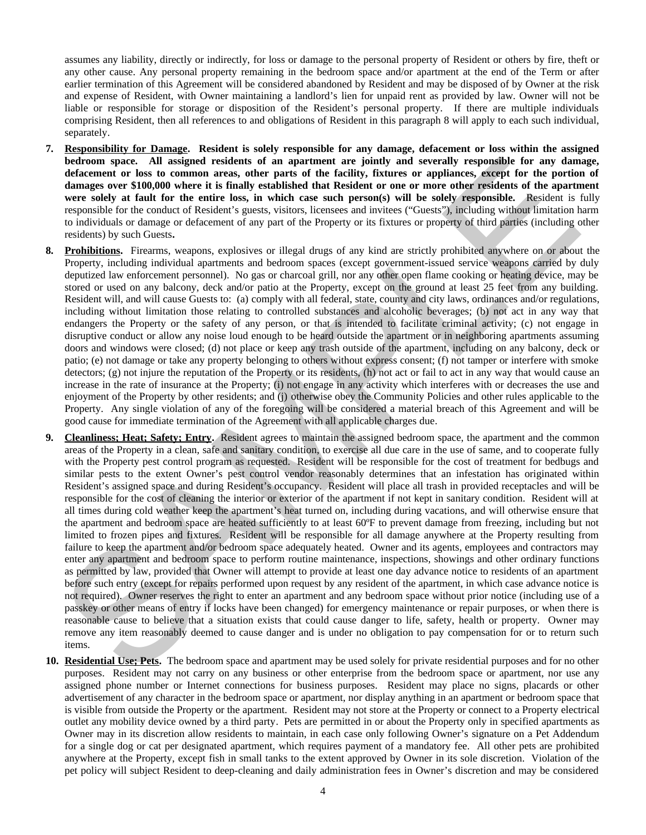assumes any liability, directly or indirectly, for loss or damage to the personal property of Resident or others by fire, theft or any other cause. Any personal property remaining in the bedroom space and/or apartment at the end of the Term or after earlier termination of this Agreement will be considered abandoned by Resident and may be disposed of by Owner at the risk and expense of Resident, with Owner maintaining a landlord's lien for unpaid rent as provided by law. Owner will not be liable or responsible for storage or disposition of the Resident's personal property. If there are multiple individuals comprising Resident, then all references to and obligations of Resident in this paragraph 8 will apply to each such individual, separately.

- **7. Responsibility for Damage. Resident is solely responsible for any damage, defacement or loss within the assigned bedroom space. All assigned residents of an apartment are jointly and severally responsible for any damage, defacement or loss to common areas, other parts of the facility, fixtures or appliances, except for the portion of damages over \$100,000 where it is finally established that Resident or one or more other residents of the apartment were solely at fault for the entire loss, in which case such person(s) will be solely responsible.** Resident is fully responsible for the conduct of Resident's guests, visitors, licensees and invitees ("Guests"), including without limitation harm to individuals or damage or defacement of any part of the Property or its fixtures or property of third parties (including other residents) by such Guests**.**
- **8. Prohibitions.** Firearms, weapons, explosives or illegal drugs of any kind are strictly prohibited anywhere on or about the Property, including individual apartments and bedroom spaces (except government-issued service weapons carried by duly deputized law enforcement personnel). No gas or charcoal grill, nor any other open flame cooking or heating device, may be stored or used on any balcony, deck and/or patio at the Property, except on the ground at least 25 feet from any building. Resident will, and will cause Guests to: (a) comply with all federal, state, county and city laws, ordinances and/or regulations, including without limitation those relating to controlled substances and alcoholic beverages; (b) not act in any way that endangers the Property or the safety of any person, or that is intended to facilitate criminal activity; (c) not engage in disruptive conduct or allow any noise loud enough to be heard outside the apartment or in neighboring apartments assuming doors and windows were closed; (d) not place or keep any trash outside of the apartment, including on any balcony, deck or patio; (e) not damage or take any property belonging to others without express consent; (f) not tamper or interfere with smoke detectors; (g) not injure the reputation of the Property or its residents, (h) not act or fail to act in any way that would cause an increase in the rate of insurance at the Property; (i) not engage in any activity which interferes with or decreases the use and enjoyment of the Property by other residents; and (j) otherwise obey the Community Policies and other rules applicable to the Property. Any single violation of any of the foregoing will be considered a material breach of this Agreement and will be good cause for immediate termination of the Agreement with all applicable charges due.
- **9. Cleanliness; Heat; Safety; Entry.** Resident agrees to maintain the assigned bedroom space, the apartment and the common areas of the Property in a clean, safe and sanitary condition, to exercise all due care in the use of same, and to cooperate fully with the Property pest control program as requested. Resident will be responsible for the cost of treatment for bedbugs and similar pests to the extent Owner's pest control vendor reasonably determines that an infestation has originated within Resident's assigned space and during Resident's occupancy. Resident will place all trash in provided receptacles and will be responsible for the cost of cleaning the interior or exterior of the apartment if not kept in sanitary condition. Resident will at all times during cold weather keep the apartment's heat turned on, including during vacations, and will otherwise ensure that the apartment and bedroom space are heated sufficiently to at least 60ºF to prevent damage from freezing, including but not limited to frozen pipes and fixtures. Resident will be responsible for all damage anywhere at the Property resulting from failure to keep the apartment and/or bedroom space adequately heated. Owner and its agents, employees and contractors may enter any apartment and bedroom space to perform routine maintenance, inspections, showings and other ordinary functions as permitted by law, provided that Owner will attempt to provide at least one day advance notice to residents of an apartment before such entry (except for repairs performed upon request by any resident of the apartment, in which case advance notice is not required). Owner reserves the right to enter an apartment and any bedroom space without prior notice (including use of a passkey or other means of entry if locks have been changed) for emergency maintenance or repair purposes, or when there is reasonable cause to believe that a situation exists that could cause danger to life, safety, health or property. Owner may remove any item reasonably deemed to cause danger and is under no obligation to pay compensation for or to return such items. between space. All assigned residents of an apartment are jointly and severally responsible for any damped<br>between to the state common arcas, other parts of the facility, fixtures or applicates, except for the partio<br>defa
- **10. Residential Use; Pets.** The bedroom space and apartment may be used solely for private residential purposes and for no other purposes. Resident may not carry on any business or other enterprise from the bedroom space or apartment, nor use any assigned phone number or Internet connections for business purposes. Resident may place no signs, placards or other advertisement of any character in the bedroom space or apartment, nor display anything in an apartment or bedroom space that is visible from outside the Property or the apartment. Resident may not store at the Property or connect to a Property electrical outlet any mobility device owned by a third party. Pets are permitted in or about the Property only in specified apartments as Owner may in its discretion allow residents to maintain, in each case only following Owner's signature on a Pet Addendum for a single dog or cat per designated apartment, which requires payment of a mandatory fee. All other pets are prohibited anywhere at the Property, except fish in small tanks to the extent approved by Owner in its sole discretion. Violation of the pet policy will subject Resident to deep-cleaning and daily administration fees in Owner's discretion and may be considered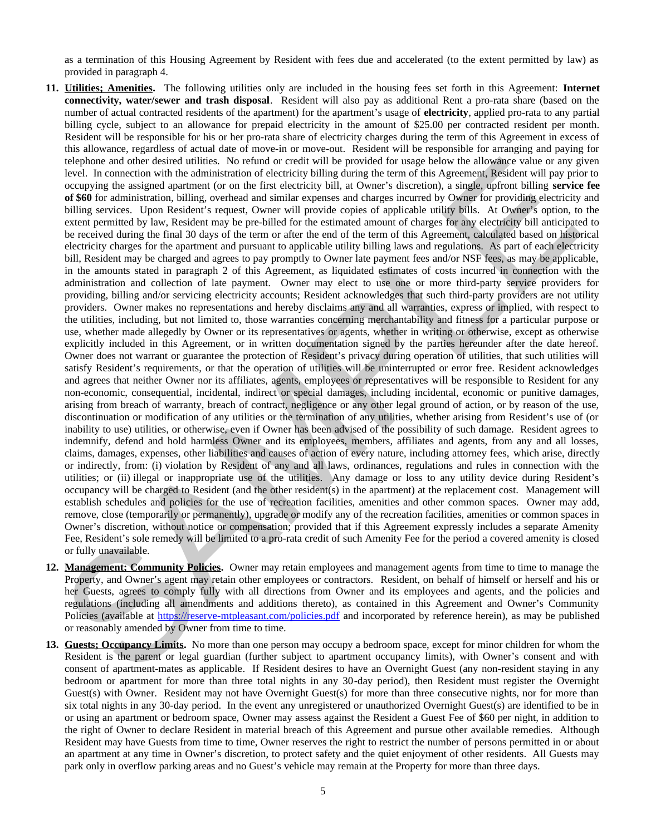as a termination of this Housing Agreement by Resident with fees due and accelerated (to the extent permitted by law) as provided in paragraph 4.

- **11. Utilities; Amenities.** The following utilities only are included in the housing fees set forth in this Agreement: **Internet connectivity, water/sewer and trash disposal**. Resident will also pay as additional Rent a pro-rata share (based on the number of actual contracted residents of the apartment) for the apartment's usage of **electricity**, applied pro-rata to any partial billing cycle, subject to an allowance for prepaid electricity in the amount of \$25.00 per contracted resident per month. Resident will be responsible for his or her pro-rata share of electricity charges during the term of this Agreement in excess of this allowance, regardless of actual date of move-in or move-out. Resident will be responsible for arranging and paying for telephone and other desired utilities. No refund or credit will be provided for usage below the allowance value or any given level. In connection with the administration of electricity billing during the term of this Agreement, Resident will pay prior to occupying the assigned apartment (or on the first electricity bill, at Owner's discretion), a single, upfront billing **service fee of \$60** for administration, billing, overhead and similar expenses and charges incurred by Owner for providing electricity and billing services. Upon Resident's request, Owner will provide copies of applicable utility bills. At Owner's option, to the extent permitted by law, Resident may be pre-billed for the estimated amount of charges for any electricity bill anticipated to be received during the final 30 days of the term or after the end of the term of this Agreement, calculated based on historical electricity charges for the apartment and pursuant to applicable utility billing laws and regulations. As part of each electricity bill, Resident may be charged and agrees to pay promptly to Owner late payment fees and/or NSF fees, as may be applicable, in the amounts stated in paragraph 2 of this Agreement, as liquidated estimates of costs incurred in connection with the administration and collection of late payment. Owner may elect to use one or more third-party service providers for providing, billing and/or servicing electricity accounts; Resident acknowledges that such third-party providers are not utility providers. Owner makes no representations and hereby disclaims any and all warranties, express or implied, with respect to the utilities, including, but not limited to, those warranties concerning merchantability and fitness for a particular purpose or use, whether made allegedly by Owner or its representatives or agents, whether in writing or otherwise, except as otherwise explicitly included in this Agreement, or in written documentation signed by the parties hereunder after the date hereof. Owner does not warrant or guarantee the protection of Resident's privacy during operation of utilities, that such utilities will satisfy Resident's requirements, or that the operation of utilities will be uninterrupted or error free. Resident acknowledges and agrees that neither Owner nor its affiliates, agents, employees or representatives will be responsible to Resident for any non-economic, consequential, incidental, indirect or special damages, including incidental, economic or punitive damages, arising from breach of warranty, breach of contract, negligence or any other legal ground of action, or by reason of the use, discontinuation or modification of any utilities or the termination of any utilities, whether arising from Resident's use of (or inability to use) utilities, or otherwise, even if Owner has been advised of the possibility of such damage. Resident agrees to indemnify, defend and hold harmless Owner and its employees, members, affiliates and agents, from any and all losses, claims, damages, expenses, other liabilities and causes of action of every nature, including attorney fees, which arise, directly or indirectly, from: (i) violation by Resident of any and all laws, ordinances, regulations and rules in connection with the utilities; or (ii) illegal or inappropriate use of the utilities. Any damage or loss to any utility device during Resident's occupancy will be charged to Resident (and the other resident(s) in the apartment) at the replacement cost. Management will establish schedules and policies for the use of recreation facilities, amenities and other common spaces. Owner may add, remove, close (temporarily or permanently), upgrade or modify any of the recreation facilities, amenities or common spaces in Owner's discretion, without notice or compensation; provided that if this Agreement expressly includes a separate Amenity Fee, Resident's sole remedy will be limited to a pro-rata credit of such Amenity Fee for the period a covered amenity is closed or fully unavailable. islepton and other desired intiting. No rehard or exity will be provided to task behow the allowing-towns of allowing the space with the space of all the space of all the control of all the space of all the space of all th
- **12. Management; Community Policies.** Owner may retain employees and management agents from time to time to manage the Property, and Owner's agent may retain other employees or contractors. Resident, on behalf of himself or herself and his or her Guests, agrees to comply fully with all directions from Owner and its employees and agents, and the policies and regulations (including all amendments and additions thereto), as contained in this Agreement and Owner's Community Policies (available at https://reserve-mtpleasant.com/policies.pdf and incorporated by reference herein), as may be published or reasonably amended by Owner from time to time.
- **13. Guests; Occupancy Limits.** No more than one person may occupy a bedroom space, except for minor children for whom the Resident is the parent or legal guardian (further subject to apartment occupancy limits), with Owner's consent and with consent of apartment-mates as applicable. If Resident desires to have an Overnight Guest (any non-resident staying in any bedroom or apartment for more than three total nights in any 30-day period), then Resident must register the Overnight Guest(s) with Owner. Resident may not have Overnight Guest(s) for more than three consecutive nights, nor for more than six total nights in any 30-day period. In the event any unregistered or unauthorized Overnight Guest(s) are identified to be in or using an apartment or bedroom space, Owner may assess against the Resident a Guest Fee of \$60 per night, in addition to the right of Owner to declare Resident in material breach of this Agreement and pursue other available remedies. Although Resident may have Guests from time to time, Owner reserves the right to restrict the number of persons permitted in or about an apartment at any time in Owner's discretion, to protect safety and the quiet enjoyment of other residents. All Guests may park only in overflow parking areas and no Guest's vehicle may remain at the Property for more than three days.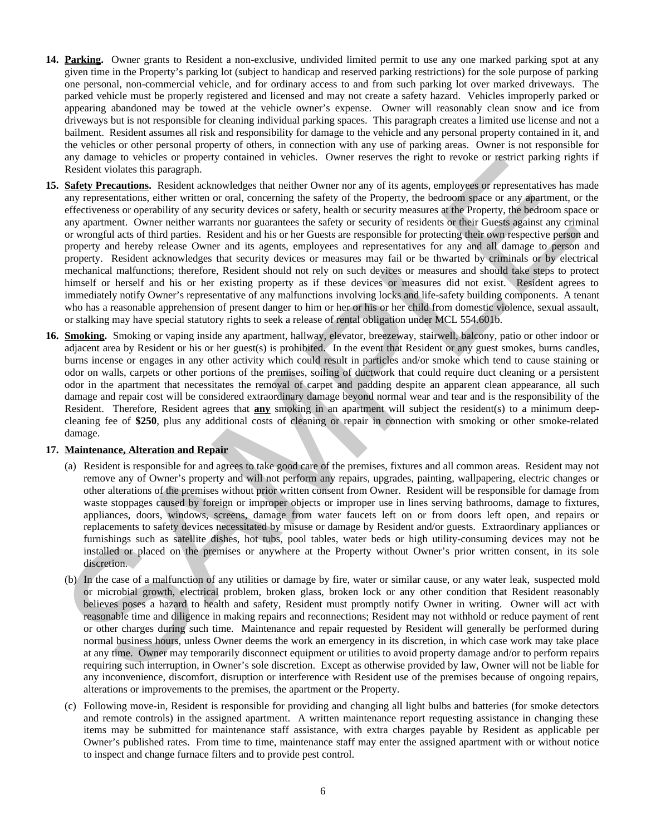- **14. Parking.** Owner grants to Resident a non-exclusive, undivided limited permit to use any one marked parking spot at any given time in the Property's parking lot (subject to handicap and reserved parking restrictions) for the sole purpose of parking one personal, non-commercial vehicle, and for ordinary access to and from such parking lot over marked driveways. The parked vehicle must be properly registered and licensed and may not create a safety hazard. Vehicles improperly parked or appearing abandoned may be towed at the vehicle owner's expense. Owner will reasonably clean snow and ice from driveways but is not responsible for cleaning individual parking spaces. This paragraph creates a limited use license and not a bailment. Resident assumes all risk and responsibility for damage to the vehicle and any personal property contained in it, and the vehicles or other personal property of others, in connection with any use of parking areas. Owner is not responsible for any damage to vehicles or property contained in vehicles. Owner reserves the right to revoke or restrict parking rights if Resident violates this paragraph.
- **15. Safety Precautions.** Resident acknowledges that neither Owner nor any of its agents, employees or representatives has made any representations, either written or oral, concerning the safety of the Property, the bedroom space or any apartment, or the effectiveness or operability of any security devices or safety, health or security measures at the Property, the bedroom space or any apartment. Owner neither warrants nor guarantees the safety or security of residents or their Guests against any criminal or wrongful acts of third parties. Resident and his or her Guests are responsible for protecting their own respective person and property and hereby release Owner and its agents, employees and representatives for any and all damage to person and property. Resident acknowledges that security devices or measures may fail or be thwarted by criminals or by electrical mechanical malfunctions; therefore, Resident should not rely on such devices or measures and should take steps to protect himself or herself and his or her existing property as if these devices or measures did not exist. Resident agrees to immediately notify Owner's representative of any malfunctions involving locks and life-safety building components. A tenant who has a reasonable apprehension of present danger to him or her or his or her child from domestic violence, sexual assault, or stalking may have special statutory rights to seek a release of rental obligation under MCL 554.601b. any damage to vehicle or property contained in vehicles. Owner reserves the right to revise or restrict partame payable.<br>Resident velocities or from the state of the state of the state of the state of the state constraints
- **16. Smoking.** Smoking or vaping inside any apartment, hallway, elevator, breezeway, stairwell, balcony, patio or other indoor or adjacent area by Resident or his or her guest(s) is prohibited. In the event that Resident or any guest smokes, burns candles, burns incense or engages in any other activity which could result in particles and/or smoke which tend to cause staining or odor on walls, carpets or other portions of the premises, soiling of ductwork that could require duct cleaning or a persistent odor in the apartment that necessitates the removal of carpet and padding despite an apparent clean appearance, all such damage and repair cost will be considered extraordinary damage beyond normal wear and tear and is the responsibility of the Resident. Therefore, Resident agrees that **any** smoking in an apartment will subject the resident(s) to a minimum deepcleaning fee of **\$250**, plus any additional costs of cleaning or repair in connection with smoking or other smoke-related damage.

#### **17. Maintenance, Alteration and Repair**

- (a) Resident is responsible for and agrees to take good care of the premises, fixtures and all common areas. Resident may not remove any of Owner's property and will not perform any repairs, upgrades, painting, wallpapering, electric changes or other alterations of the premises without prior written consent from Owner. Resident will be responsible for damage from waste stoppages caused by foreign or improper objects or improper use in lines serving bathrooms, damage to fixtures, appliances, doors, windows, screens, damage from water faucets left on or from doors left open, and repairs or replacements to safety devices necessitated by misuse or damage by Resident and/or guests. Extraordinary appliances or furnishings such as satellite dishes, hot tubs, pool tables, water beds or high utility-consuming devices may not be installed or placed on the premises or anywhere at the Property without Owner's prior written consent, in its sole discretion.
- (b) In the case of a malfunction of any utilities or damage by fire, water or similar cause, or any water leak, suspected mold or microbial growth, electrical problem, broken glass, broken lock or any other condition that Resident reasonably believes poses a hazard to health and safety, Resident must promptly notify Owner in writing. Owner will act with reasonable time and diligence in making repairs and reconnections; Resident may not withhold or reduce payment of rent or other charges during such time. Maintenance and repair requested by Resident will generally be performed during normal business hours, unless Owner deems the work an emergency in its discretion, in which case work may take place at any time. Owner may temporarily disconnect equipment or utilities to avoid property damage and/or to perform repairs requiring such interruption, in Owner's sole discretion. Except as otherwise provided by law, Owner will not be liable for any inconvenience, discomfort, disruption or interference with Resident use of the premises because of ongoing repairs, alterations or improvements to the premises, the apartment or the Property.
- (c) Following move-in, Resident is responsible for providing and changing all light bulbs and batteries (for smoke detectors and remote controls) in the assigned apartment. A written maintenance report requesting assistance in changing these items may be submitted for maintenance staff assistance, with extra charges payable by Resident as applicable per Owner's published rates. From time to time, maintenance staff may enter the assigned apartment with or without notice to inspect and change furnace filters and to provide pest control.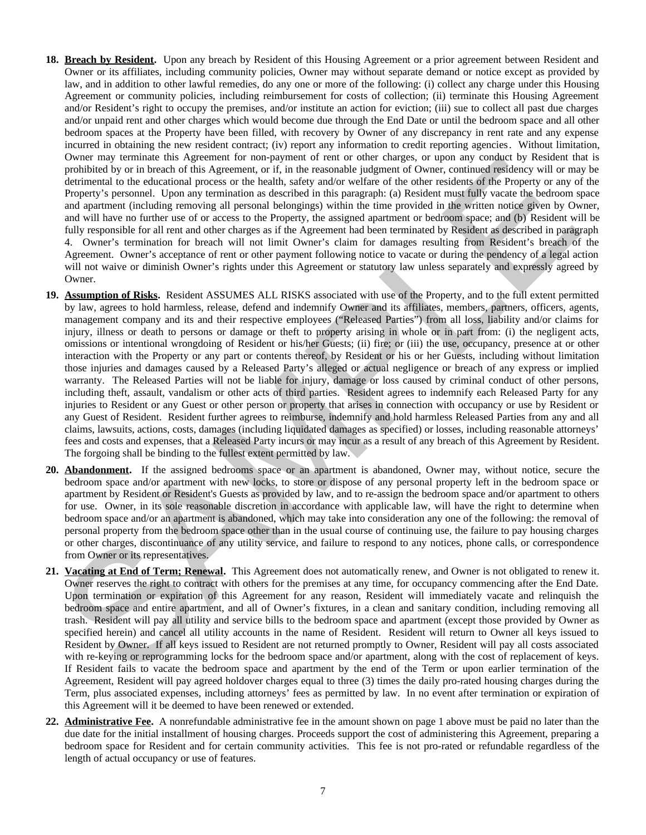- **18. Breach by Resident.** Upon any breach by Resident of this Housing Agreement or a prior agreement between Resident and Owner or its affiliates, including community policies, Owner may without separate demand or notice except as provided by law, and in addition to other lawful remedies, do any one or more of the following: (i) collect any charge under this Housing Agreement or community policies, including reimbursement for costs of collection; (ii) terminate this Housing Agreement and/or Resident's right to occupy the premises, and/or institute an action for eviction; (iii) sue to collect all past due charges and/or unpaid rent and other charges which would become due through the End Date or until the bedroom space and all other bedroom spaces at the Property have been filled, with recovery by Owner of any discrepancy in rent rate and any expense incurred in obtaining the new resident contract; (iv) report any information to credit reporting agencies. Without limitation, Owner may terminate this Agreement for non-payment of rent or other charges, or upon any conduct by Resident that is prohibited by or in breach of this Agreement, or if, in the reasonable judgment of Owner, continued residency will or may be detrimental to the educational process or the health, safety and/or welfare of the other residents of the Property or any of the Property's personnel. Upon any termination as described in this paragraph: (a) Resident must fully vacate the bedroom space and apartment (including removing all personal belongings) within the time provided in the written notice given by Owner, and will have no further use of or access to the Property, the assigned apartment or bedroom space; and (b) Resident will be fully responsible for all rent and other charges as if the Agreement had been terminated by Resident as described in paragraph 4. Owner's termination for breach will not limit Owner's claim for damages resulting from Resident's breach of the Agreement. Owner's acceptance of rent or other payment following notice to vacate or during the pendency of a legal action will not waive or diminish Owner's rights under this Agreement or statutory law unless separately and expressly agreed by Owner.
- **19. Assumption of Risks.** Resident ASSUMES ALL RISKS associated with use of the Property, and to the full extent permitted by law, agrees to hold harmless, release, defend and indemnify Owner and its affiliates, members, partners, officers, agents, management company and its and their respective employees ("Released Parties") from all loss, liability and/or claims for injury, illness or death to persons or damage or theft to property arising in whole or in part from: (i) the negligent acts, omissions or intentional wrongdoing of Resident or his/her Guests; (ii) fire; or (iii) the use, occupancy, presence at or other interaction with the Property or any part or contents thereof, by Resident or his or her Guests, including without limitation those injuries and damages caused by a Released Party's alleged or actual negligence or breach of any express or implied warranty. The Released Parties will not be liable for injury, damage or loss caused by criminal conduct of other persons, including theft, assault, vandalism or other acts of third parties. Resident agrees to indemnify each Released Party for any injuries to Resident or any Guest or other person or property that arises in connection with occupancy or use by Resident or any Guest of Resident. Resident further agrees to reimburse, indemnify and hold harmless Released Parties from any and all claims, lawsuits, actions, costs, damages (including liquidated damages as specified) or losses, including reasonable attorneys' fees and costs and expenses, that a Released Party incurs or may incur as a result of any breach of this Agreement by Resident. The forgoing shall be binding to the fullest extent permitted by law. Owner may be<br>manned in Approach of this Apprenent or for more of the customeled of<br>persistence of the state of the state of the customeled of the customeled<br>by the most persistence of the state of the customeled of the cu
- **20. Abandonment.** If the assigned bedrooms space or an apartment is abandoned, Owner may, without notice, secure the bedroom space and/or apartment with new locks, to store or dispose of any personal property left in the bedroom space or apartment by Resident or Resident's Guests as provided by law, and to re-assign the bedroom space and/or apartment to others for use. Owner, in its sole reasonable discretion in accordance with applicable law, will have the right to determine when bedroom space and/or an apartment is abandoned, which may take into consideration any one of the following: the removal of personal property from the bedroom space other than in the usual course of continuing use, the failure to pay housing charges or other charges, discontinuance of any utility service, and failure to respond to any notices, phone calls, or correspondence from Owner or its representatives.
- **21. Vacating at End of Term; Renewal.** This Agreement does not automatically renew, and Owner is not obligated to renew it. Owner reserves the right to contract with others for the premises at any time, for occupancy commencing after the End Date. Upon termination or expiration of this Agreement for any reason, Resident will immediately vacate and relinquish the bedroom space and entire apartment, and all of Owner's fixtures, in a clean and sanitary condition, including removing all trash. Resident will pay all utility and service bills to the bedroom space and apartment (except those provided by Owner as specified herein) and cancel all utility accounts in the name of Resident. Resident will return to Owner all keys issued to Resident by Owner. If all keys issued to Resident are not returned promptly to Owner, Resident will pay all costs associated with re-keying or reprogramming locks for the bedroom space and/or apartment, along with the cost of replacement of keys. If Resident fails to vacate the bedroom space and apartment by the end of the Term or upon earlier termination of the Agreement, Resident will pay agreed holdover charges equal to three (3) times the daily pro-rated housing charges during the Term, plus associated expenses, including attorneys' fees as permitted by law. In no event after termination or expiration of this Agreement will it be deemed to have been renewed or extended.
- **22. Administrative Fee.** A nonrefundable administrative fee in the amount shown on page 1 above must be paid no later than the due date for the initial installment of housing charges. Proceeds support the cost of administering this Agreement, preparing a bedroom space for Resident and for certain community activities. This fee is not pro-rated or refundable regardless of the length of actual occupancy or use of features.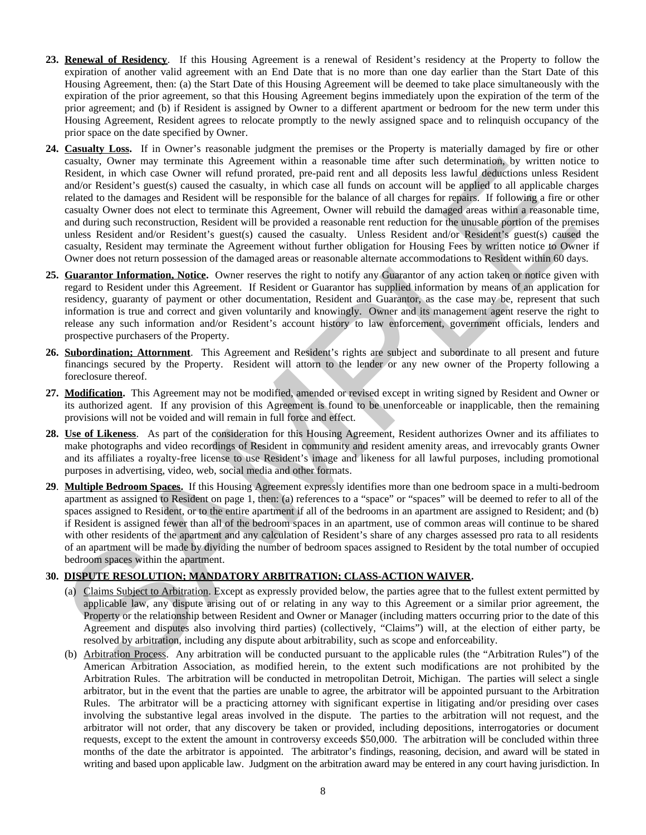- **23. Renewal of Residency**. If this Housing Agreement is a renewal of Resident's residency at the Property to follow the expiration of another valid agreement with an End Date that is no more than one day earlier than the Start Date of this Housing Agreement, then: (a) the Start Date of this Housing Agreement will be deemed to take place simultaneously with the expiration of the prior agreement, so that this Housing Agreement begins immediately upon the expiration of the term of the prior agreement; and (b) if Resident is assigned by Owner to a different apartment or bedroom for the new term under this Housing Agreement, Resident agrees to relocate promptly to the newly assigned space and to relinquish occupancy of the prior space on the date specified by Owner.
- **24. Casualty Loss.** If in Owner's reasonable judgment the premises or the Property is materially damaged by fire or other casualty, Owner may terminate this Agreement within a reasonable time after such determination, by written notice to Resident, in which case Owner will refund prorated, pre-paid rent and all deposits less lawful deductions unless Resident and/or Resident's guest(s) caused the casualty, in which case all funds on account will be applied to all applicable charges related to the damages and Resident will be responsible for the balance of all charges for repairs. If following a fire or other casualty Owner does not elect to terminate this Agreement, Owner will rebuild the damaged areas within a reasonable time, and during such reconstruction, Resident will be provided a reasonable rent reduction for the unusable portion of the premises unless Resident and/or Resident's guest(s) caused the casualty. Unless Resident and/or Resident's guest(s) caused the casualty, Resident may terminate the Agreement without further obligation for Housing Fees by written notice to Owner if Owner does not return possession of the damaged areas or reasonable alternate accommodations to Resident within 60 days. SAMPLE
- **25. Guarantor Information, Notice.** Owner reserves the right to notify any Guarantor of any action taken or notice given with regard to Resident under this Agreement. If Resident or Guarantor has supplied information by means of an application for residency, guaranty of payment or other documentation, Resident and Guarantor, as the case may be, represent that such information is true and correct and given voluntarily and knowingly. Owner and its management agent reserve the right to release any such information and/or Resident's account history to law enforcement, government officials, lenders and prospective purchasers of the Property.
- **26. Subordination; Attornment**. This Agreement and Resident's rights are subject and subordinate to all present and future financings secured by the Property. Resident will attorn to the lender or any new owner of the Property following a foreclosure thereof.
- **27. Modification.** This Agreement may not be modified, amended or revised except in writing signed by Resident and Owner or its authorized agent. If any provision of this Agreement is found to be unenforceable or inapplicable, then the remaining provisions will not be voided and will remain in full force and effect.
- **28. Use of Likeness**. As part of the consideration for this Housing Agreement, Resident authorizes Owner and its affiliates to make photographs and video recordings of Resident in community and resident amenity areas, and irrevocably grants Owner and its affiliates a royalty-free license to use Resident's image and likeness for all lawful purposes, including promotional purposes in advertising, video, web, social media and other formats.
- **29**. **Multiple Bedroom Spaces.** If this Housing Agreement expressly identifies more than one bedroom space in a multi-bedroom apartment as assigned to Resident on page 1, then: (a) references to a "space" or "spaces" will be deemed to refer to all of the spaces assigned to Resident, or to the entire apartment if all of the bedrooms in an apartment are assigned to Resident; and (b) if Resident is assigned fewer than all of the bedroom spaces in an apartment, use of common areas will continue to be shared with other residents of the apartment and any calculation of Resident's share of any charges assessed pro rata to all residents of an apartment will be made by dividing the number of bedroom spaces assigned to Resident by the total number of occupied bedroom spaces within the apartment.

## **30. DISPUTE RESOLUTION; MANDATORY ARBITRATION; CLASS-ACTION WAIVER.**

- (a) Claims Subject to Arbitration. Except as expressly provided below, the parties agree that to the fullest extent permitted by applicable law, any dispute arising out of or relating in any way to this Agreement or a similar prior agreement, the Property or the relationship between Resident and Owner or Manager (including matters occurring prior to the date of this Agreement and disputes also involving third parties) (collectively, "Claims") will, at the election of either party, be resolved by arbitration, including any dispute about arbitrability, such as scope and enforceability.
- (b) Arbitration Process. Any arbitration will be conducted pursuant to the applicable rules (the "Arbitration Rules") of the American Arbitration Association, as modified herein, to the extent such modifications are not prohibited by the Arbitration Rules. The arbitration will be conducted in metropolitan Detroit, Michigan. The parties will select a single arbitrator, but in the event that the parties are unable to agree, the arbitrator will be appointed pursuant to the Arbitration Rules. The arbitrator will be a practicing attorney with significant expertise in litigating and/or presiding over cases involving the substantive legal areas involved in the dispute. The parties to the arbitration will not request, and the arbitrator will not order, that any discovery be taken or provided, including depositions, interrogatories or document requests, except to the extent the amount in controversy exceeds \$50,000. The arbitration will be concluded within three months of the date the arbitrator is appointed. The arbitrator's findings, reasoning, decision, and award will be stated in writing and based upon applicable law. Judgment on the arbitration award may be entered in any court having jurisdiction. In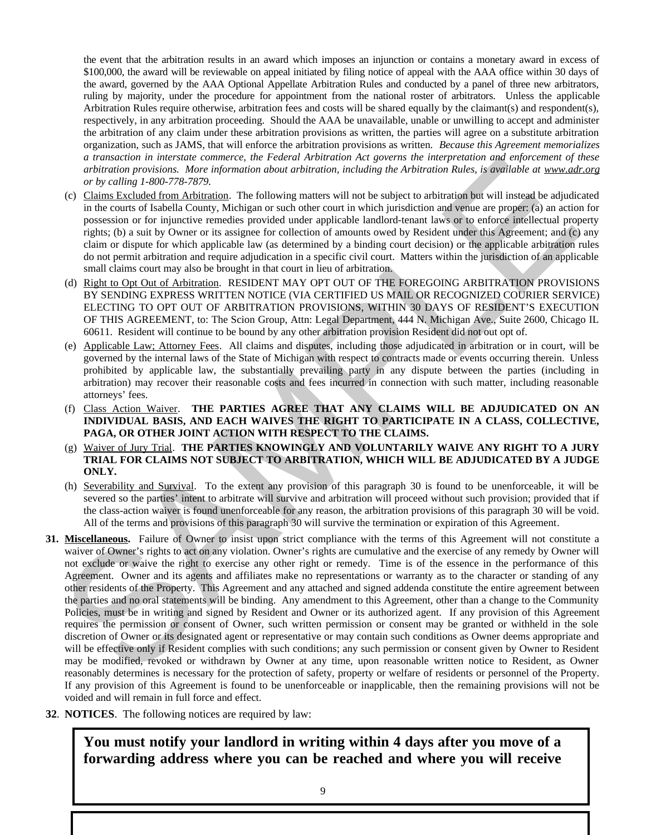the event that the arbitration results in an award which imposes an injunction or contains a monetary award in excess of \$100,000, the award will be reviewable on appeal initiated by filing notice of appeal with the AAA office within 30 days of the award, governed by the AAA Optional Appellate Arbitration Rules and conducted by a panel of three new arbitrators, ruling by majority, under the procedure for appointment from the national roster of arbitrators. Unless the applicable Arbitration Rules require otherwise, arbitration fees and costs will be shared equally by the claimant(s) and respondent(s), respectively, in any arbitration proceeding. Should the AAA be unavailable, unable or unwilling to accept and administer the arbitration of any claim under these arbitration provisions as written, the parties will agree on a substitute arbitration organization, such as JAMS, that will enforce the arbitration provisions as written. *Because this Agreement memorializes a transaction in interstate commerce, the Federal Arbitration Act governs the interpretation and enforcement of these arbitration provisions. More information about arbitration, including the Arbitration Rules, is available at www.adr.org or by calling 1-800-778-7879.*

- (c) Claims Excluded from Arbitration. The following matters will not be subject to arbitration but will instead be adjudicated in the courts of Isabella County, Michigan or such other court in which jurisdiction and venue are proper: (a) an action for possession or for injunctive remedies provided under applicable landlord-tenant laws or to enforce intellectual property rights; (b) a suit by Owner or its assignee for collection of amounts owed by Resident under this Agreement; and (c) any claim or dispute for which applicable law (as determined by a binding court decision) or the applicable arbitration rules do not permit arbitration and require adjudication in a specific civil court. Matters within the jurisdiction of an applicable small claims court may also be brought in that court in lieu of arbitration.
- (d) Right to Opt Out of Arbitration. RESIDENT MAY OPT OUT OF THE FOREGOING ARBITRATION PROVISIONS BY SENDING EXPRESS WRITTEN NOTICE (VIA CERTIFIED US MAIL OR RECOGNIZED COURIER SERVICE) ELECTING TO OPT OUT OF ARBITRATION PROVISIONS, WITHIN 30 DAYS OF RESIDENT'S EXECUTION OF THIS AGREEMENT, to: The Scion Group, Attn: Legal Department, 444 N. Michigan Ave., Suite 2600, Chicago IL 60611. Resident will continue to be bound by any other arbitration provision Resident did not out opt of.
- (e) Applicable Law; Attorney Fees. All claims and disputes, including those adjudicated in arbitration or in court, will be governed by the internal laws of the State of Michigan with respect to contracts made or events occurring therein. Unless prohibited by applicable law, the substantially prevailing party in any dispute between the parties (including in arbitration) may recover their reasonable costs and fees incurred in connection with such matter, including reasonable attorneys' fees.
- (f) Class Action Waiver. **THE PARTIES AGREE THAT ANY CLAIMS WILL BE ADJUDICATED ON AN INDIVIDUAL BASIS, AND EACH WAIVES THE RIGHT TO PARTICIPATE IN A CLASS, COLLECTIVE, PAGA, OR OTHER JOINT ACTION WITH RESPECT TO THE CLAIMS.**
- (g) Waiver of Jury Trial. **THE PARTIES KNOWINGLY AND VOLUNTARILY WAIVE ANY RIGHT TO A JURY TRIAL FOR CLAIMS NOT SUBJECT TO ARBITRATION, WHICH WILL BE ADJUDICATED BY A JUDGE ONLY.**
- (h) Severability and Survival. To the extent any provision of this paragraph 30 is found to be unenforceable, it will be severed so the parties' intent to arbitrate will survive and arbitration will proceed without such provision; provided that if the class-action waiver is found unenforceable for any reason, the arbitration provisions of this paragraph 30 will be void. All of the terms and provisions of this paragraph 30 will survive the termination or expiration of this Agreement.
- **31. Miscellaneous.** Failure of Owner to insist upon strict compliance with the terms of this Agreement will not constitute a waiver of Owner's rights to act on any violation. Owner's rights are cumulative and the exercise of any remedy by Owner will not exclude or waive the right to exercise any other right or remedy. Time is of the essence in the performance of this Agreement. Owner and its agents and affiliates make no representations or warranty as to the character or standing of any other residents of the Property. This Agreement and any attached and signed addenda constitute the entire agreement between the parties and no oral statements will be binding. Any amendment to this Agreement, other than a change to the Community Policies, must be in writing and signed by Resident and Owner or its authorized agent. If any provision of this Agreement requires the permission or consent of Owner, such written permission or consent may be granted or withheld in the sole discretion of Owner or its designated agent or representative or may contain such conditions as Owner deems appropriate and will be effective only if Resident complies with such conditions; any such permission or consent given by Owner to Resident may be modified, revoked or withdrawn by Owner at any time, upon reasonable written notice to Resident, as Owner reasonably determines is necessary for the protection of safety, property or welfare of residents or personnel of the Property. If any provision of this Agreement is found to be unenforceable or inapplicable, then the remaining provisions will not be voided and will remain in full force and effect. a franca.com in meriste commerce, the Federal Articleton Rel governs to interpretation and constrained by the computer of the computer of the computer of the commerce of the commerce of the commerce of the commerce of th
- **32**. **NOTICES**. The following notices are required by law:

**You must notify your landlord in writing within 4 days after you move of a forwarding address where you can be reached and where you will receive**